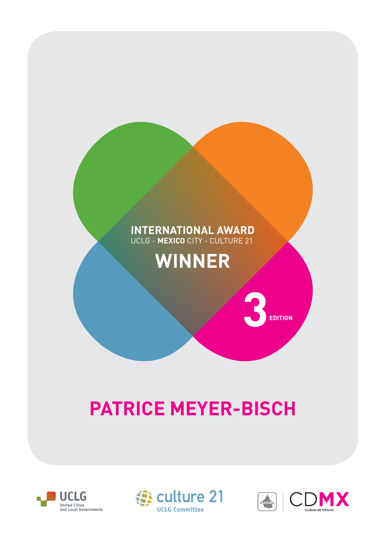## **INTERNATIONAL AWARD** UCLG - **MEXICO** CITY - CULTURE 21

## **WINNER**

## **PATRICE MEYER-BISCH**







 $3$ <sub>EDITION</sub>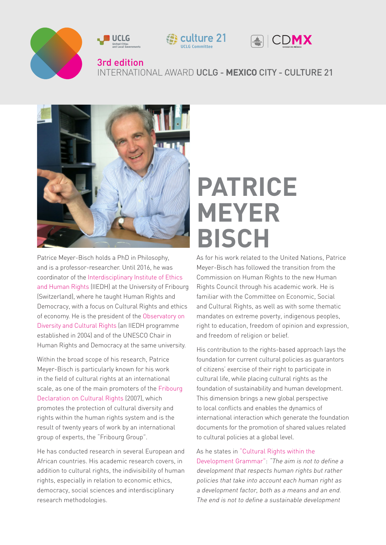



Patrice Meyer-Bisch holds a PhD in Philosophy, and is a professor-researcher. Until 2016, he was coordinator of the [Interdisciplinary Institute of Ethics](http://www.unifr.ch/iiedh/fr)  [and Human Rights](http://www.unifr.ch/iiedh/fr) (IIEDH) at the University of Fribourg (Switzerland), where he taught Human Rights and Democracy, with a focus on Cultural Rights and ethics of economy. He is the president of the [Observatory on](https://droitsculturels.org/observatoire/)  [Diversity and Cultural Rights](https://droitsculturels.org/observatoire/) (an IIEDH programme established in 2004) and of the UNESCO Chair in Human Rights and Democracy at the same university.

Within the broad scope of his research, Patrice Meyer-Bisch is particularly known for his work in the field of cultural rights at an international scale, as one of the main promoters of the [Fribourg](http://www.culturalrights.net/descargas/drets_culturals377.pdf)  [Declaration on Cultural Rights](http://www.culturalrights.net/descargas/drets_culturals377.pdf) (2007), which promotes the protection of cultural diversity and rights within the human rights system and is the result of twenty years of work by an international group of experts, the "Fribourg Group".

He has conducted research in several European and African countries. His academic research covers, in addition to cultural rights, the indivisibility of human rights, especially in relation to economic ethics, democracy, social sciences and interdisciplinary research methodologies.

## **PATRICE MEYER BISCH**

As for his work related to the United Nations, Patrice Meyer-Bisch has followed the transition from the Commission on Human Rights to the new Human Rights Council through his academic work. He is familiar with the Committee on Economic, Social and Cultural Rights, as well as with some thematic mandates on extreme poverty, indigenous peoples, right to education, freedom of opinion and expression, and freedom of religion or belief.

His contribution to the rights-based approach lays the foundation for current cultural policies as guarantors of citizens' exercise of their right to participate in cultural life, while placing cultural rights as the foundation of sustainability and human development. This dimension brings a new global perspective to local conflicts and enables the dynamics of international interaction which generate the foundation documents for the promotion of shared values related to cultural policies at a global level.

As he states in ["Cultural Rights within the](http://www.agenda21culture.net/sites/default/files/files/documents/en/newa21c_patrice_meyer-bisch_eng.pdf)  [Development Grammar":](http://www.agenda21culture.net/sites/default/files/files/documents/en/newa21c_patrice_meyer-bisch_eng.pdf) "The aim is not to define a development that respects human rights but rather policies that take into account each human right as a development factor, both as a means and an end. The end is not to define a sustainable development